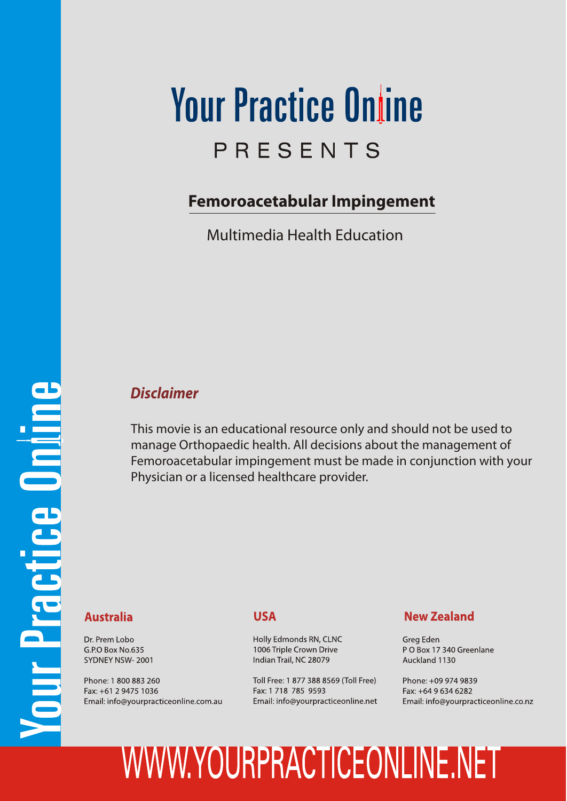## **Your Practice Online** PRESENTS

### **Femoroacetabular Impingement**

Multimedia Health Education

### *Disclaimer*

This movie is an educational resource only and should not be used to manage Orthopaedic health. All decisions about the management of Femoroacetabular impingement must be made in conjunction with your Physician or a licensed healthcare provider.

#### **Australia**

Dr. Prem Lobo G.P.O Box No.635 SYDNEY NSW-2001

Phone: 1 800 883 260 Fax: +61 2 9475 1036 Email: info@yourpracticeonline.com.au

### **USA**

Holly Edmonds RN, CLNC 1006 Triple Crown Drive Indian Trail, NC 28079

Toll Free: 1 877 388 8569 (Toll Free) Fax: 1 718 785 9593 Email: info@yourpracticeonline.net

### **New Zealand**

Greg Eden PO Box 17 340 Greenlane Auckland 1130

Phone: +09 974 9839 Fax: +64 9 634 6282 Email: info@yourpracticeonline.co.nz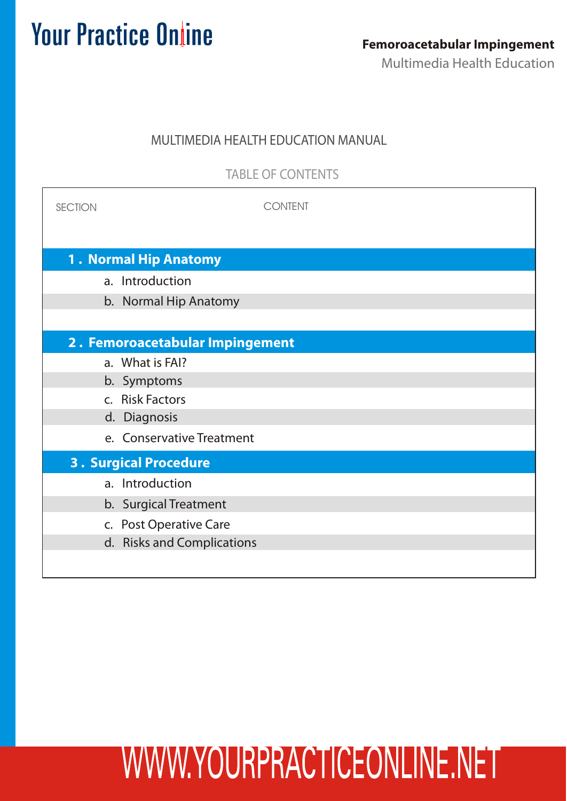### MULTIMEDIA HEALTH EDUCATION MANUAL

TABLE OF CONTENTS

| <b>SECTION</b>                  | <b>CONTENT</b>             |  |  |
|---------------------------------|----------------------------|--|--|
|                                 |                            |  |  |
| 1. Normal Hip Anatomy           |                            |  |  |
|                                 | a. Introduction            |  |  |
|                                 | b. Normal Hip Anatomy      |  |  |
|                                 |                            |  |  |
| 2. Femoroacetabular Impingement |                            |  |  |
|                                 | a. What is FAI?            |  |  |
|                                 | b. Symptoms                |  |  |
|                                 | c. Risk Factors            |  |  |
|                                 | d. Diagnosis               |  |  |
|                                 | e. Conservative Treatment  |  |  |
| <b>3. Surgical Procedure</b>    |                            |  |  |
|                                 | a. Introduction            |  |  |
|                                 | b. Surgical Treatment      |  |  |
|                                 | c. Post Operative Care     |  |  |
|                                 | d. Risks and Complications |  |  |
|                                 |                            |  |  |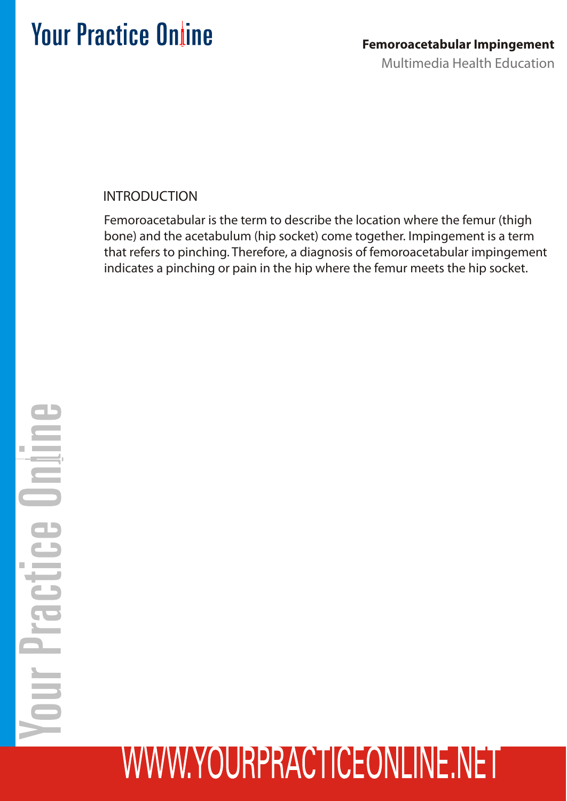INTRODUCTION

Femoroacetabular is the term to describe the location where the femur (thigh bone) and the acetabulum (hip socket) come together. Impingement is a term that refers to pinching. Therefore, a diagnosis of femoroacetabular impingement indicates a pinching or pain in the hip where the femur meets the hip socket.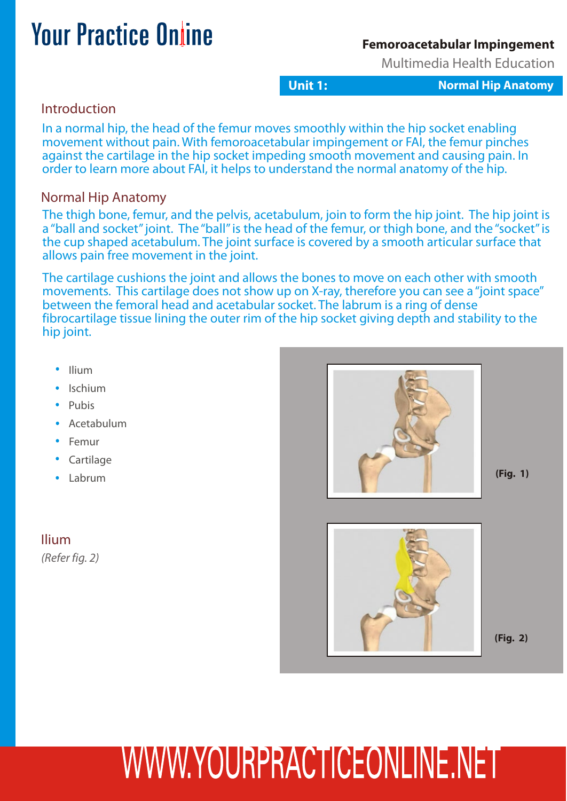#### **Femoroacetabular Impingement**

Multimedia Health Education

**Unit 1: Normal Hip Anatomy** 

### **Introduction**

In a normal hip, the head of the femur moves smoothly within the hip socket enabling movement without pain. With femoroacetabular impingement or FAI, the femur pinches against the cartilage in the hip socket impeding smooth movement and causing pain. In order to learn more about FAI, it helps to understand the normal anatomy of the hip.

### Normal Hip Anatomy

The thigh bone, femur, and the pelvis, acetabulum, join to form the hip joint. The hip joint is a "ball and socket" joint. The "ball" is the head of the femur, or thigh bone, and the "socket" is the cup shaped acetabulum. The joint surface is covered by a smooth articular surface that allows pain free movement in the joint.

The cartilage cushions the joint and allows the bones to move on each other with smooth movements. This cartilage does not show up on X-ray, therefore you can see a "joint space" between the femoral head and acetabular socket. The labrum is a ring of dense fibrocartilage tissue lining the outer rim of the hip socket giving depth and stability to the hip joint.

- Ilium
- Ischium
- Pubis
- Acetabulum
- Femur
- Cartilage
- Labrum

Ilium

*(Refer fig. 2)*

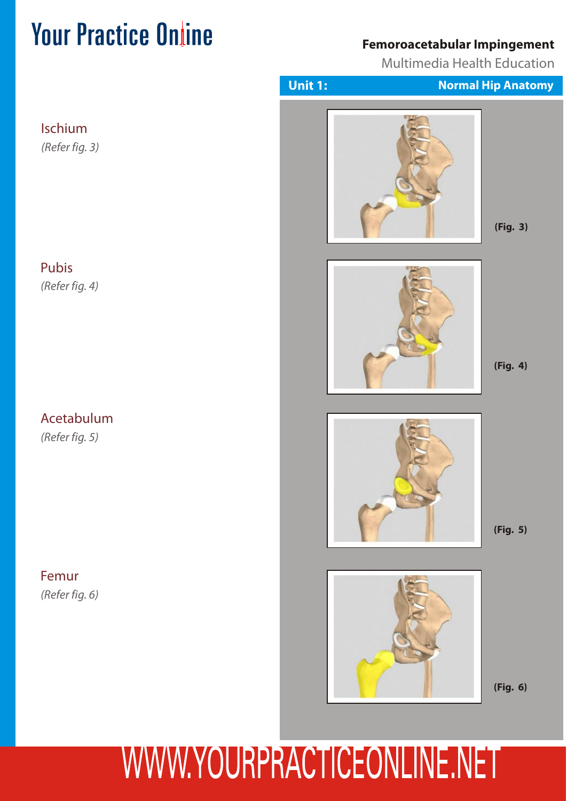### **Femoroacetabular Impingement**

Multimedia Health Education



WWW.YOURPRACTICEONLINE.NET

### Ischium

*(Refer fig. 3)*

### Pubis

*(Refer fig. 4)*

### Acetabulum

*(Refer fig. 5)*

Femur *(Refer fig. 6)*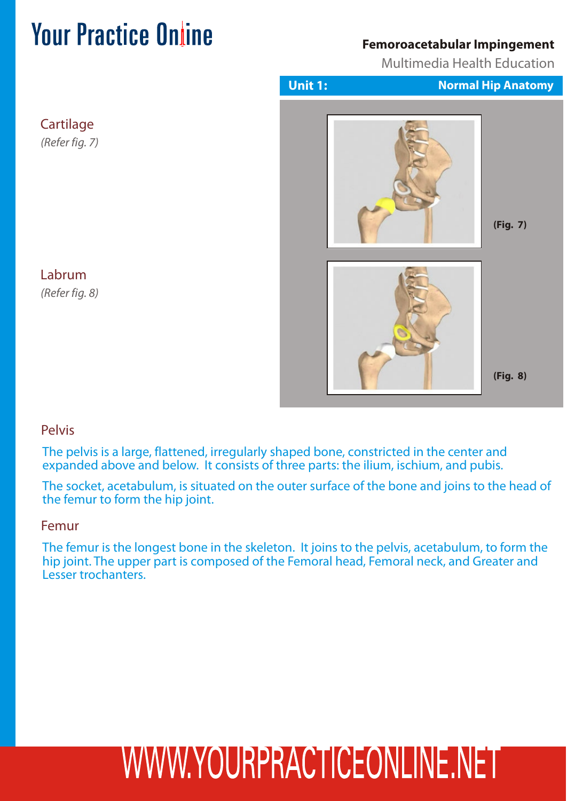### **Femoroacetabular Impingement**

Multimedia Health Education



Labrum *(Refer fig. 8)*

**Cartilage** 

*(Refer fig. 7)*

### Pelvis

The pelvis is a large, flattened, irregularly shaped bone, constricted in the center and expanded above and below. It consists of three parts: the ilium, ischium, and pubis.

The socket, acetabulum, is situated on the outer surface of the bone and joins to the head of the femur to form the hip joint.

#### Femur

The femur is the longest bone in the skeleton. It joins to the pelvis, acetabulum, to form the hip joint. The upper part is composed of the Femoral head, Femoral neck, and Greater and Lesser trochanters.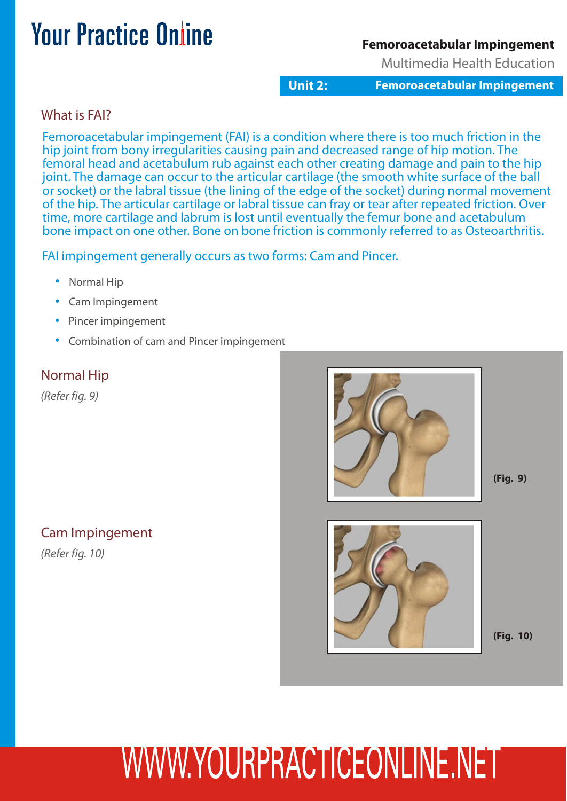### **Femoroacetabular Impingement**

Multimedia Health Education

**Unit 2: Femoroacetabular Impingement**

### What is FAI?

Femoroacetabular impingement (FAI) is a condition where there is too much friction in the hip joint from bony irregularities causing pain and decreased range of hip motion. The femoral head and acetabulum rub against each other creating damage and pain to the hip joint. The damage can occur to the articular cartilage (the smooth white surface of the ball or socket) or the labral tissue (the lining of the edge of the socket) during normal movement of the hip. The articular cartilage or labral tissue can fray or tear after repeated friction. Over time, more cartilage and labrum is lost until eventually the femur bone and acetabulum bone impact on one other. Bone on bone friction is commonly referred to as Osteoarthritis.

FAI impingement generally occurs as two forms: Cam and Pincer.

- Normal Hip
- Cam Impingement
- Pincer impingement
- Combination of cam and Pincer impingement

### Normal Hip

*(Refer fig. 9)*

### Cam Impingement

*(Refer fig. 10)*

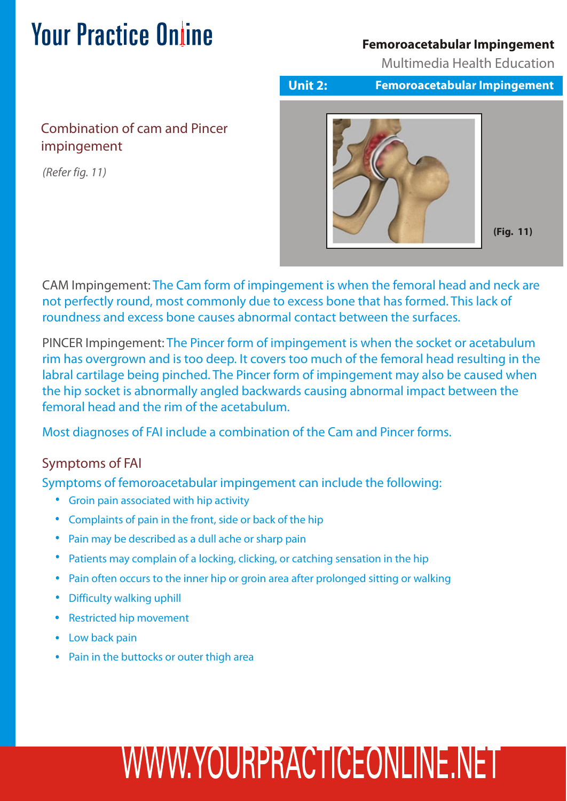### **Femoroacetabular Impingement**

Multimedia Health Education

### Combination of cam and Pincer impingement

*(Refer fig. 11)*



**Unit 2: Femoroacetabular Impingement**

**(Fig. 11)**

CAM Impingement: The Cam form of impingement is when the femoral head and neck are not perfectly round, most commonly due to excess bone that has formed. This lack of roundness and excess bone causes abnormal contact between the surfaces.

PINCER Impingement: The Pincer form of impingement is when the socket or acetabulum rim has overgrown and is too deep. It covers too much of the femoral head resulting in the labral cartilage being pinched. The Pincer form of impingement may also be caused when the hip socket is abnormally angled backwards causing abnormal impact between the femoral head and the rim of the acetabulum.

Most diagnoses of FAI include a combination of the Cam and Pincer forms.

### Symptoms of FAI

Symptoms of femoroacetabular impingement can include the following:

- Groin pain associated with hip activity
- Complaints of pain in the front, side or back of the hip
- Pain may be described as a dull ache or sharp pain
- Patients may complain of a locking, clicking, or catching sensation in the hip
- Pain often occurs to the inner hip or groin area after prolonged sitting or walking
- Difficulty walking uphill
- Restricted hip movement
- Low back pain
- Pain in the buttocks or outer thigh area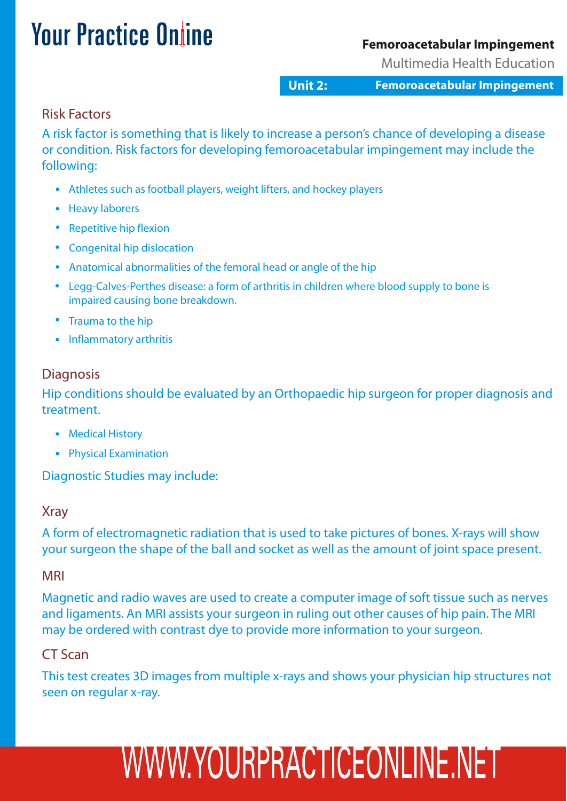### **Femoroacetabular Impingement**

Multimedia Health Education

**Unit 2: Femoroacetabular Impingement**

#### Risk Factors

A risk factor is something that is likely to increase a person's chance of developing a disease or condition. Risk factors for developing femoroacetabular impingement may include the following:

- Athletes such as football players, weight lifters, and hockey players
- Heavy laborers
- Repetitive hip flexion
- Congenital hip dislocation
- Anatomical abnormalities of the femoral head or angle of the hip
- Legg-Calves-Perthes disease: a form of arthritis in children where blood supply to bone is impaired causing bone breakdown.
- Trauma to the hip
- Inflammatory arthritis

#### **Diagnosis**

Hip conditions should be evaluated by an Orthopaedic hip surgeon for proper diagnosis and treatment.

- Medical History
- Physical Examination

Diagnostic Studies may include:

### Xray

A form of electromagnetic radiation that is used to take pictures of bones. X-rays will show your surgeon the shape of the ball and socket as well as the amount of joint space present.

#### MRI

Magnetic and radio waves are used to create a computer image of soft tissue such as nerves and ligaments. An MRI assists your surgeon in ruling out other causes of hip pain. The MRI may be ordered with contrast dye to provide more information to your surgeon.

### CT Scan

This test creates 3D images from multiple x-rays and shows your physician hip structures not seen on regular x-ray.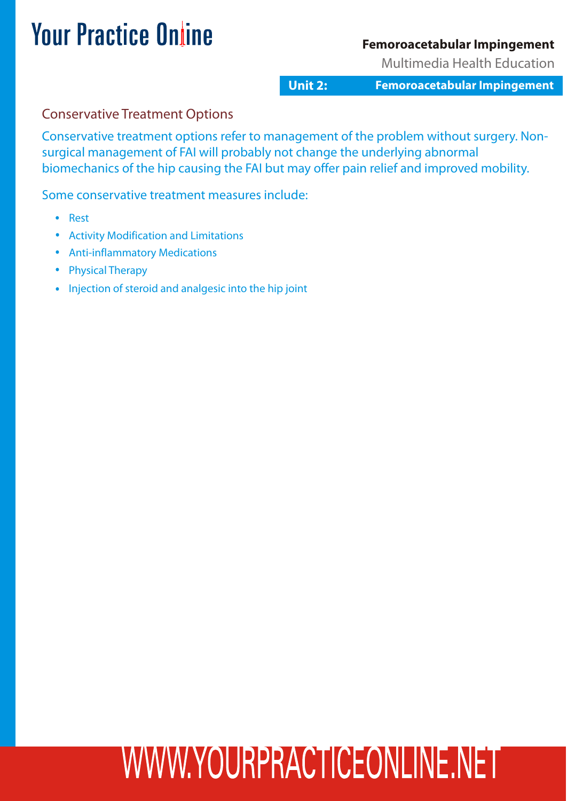### **Femoroacetabular Impingement**

Multimedia Health Education

**Unit 2: Femoroacetabular Impingement**

### Conservative Treatment Options

Conservative treatment options refer to management of the problem without surgery. Nonsurgical management of FAI will probably not change the underlying abnormal biomechanics of the hip causing the FAI but may offer pain relief and improved mobility.

Some conservative treatment measures include:

- Rest
- Activity Modification and Limitations
- Anti-inflammatory Medications
- Physical Therapy
- Injection of steroid and analgesic into the hip joint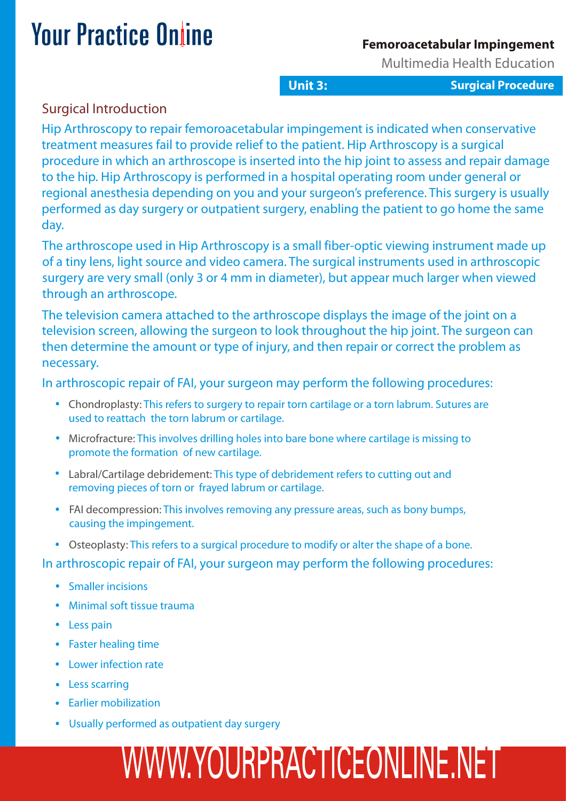#### **Femoroacetabular Impingement**

Multimedia Health Education

**Unit 3: Surgical Procedure**

### Surgical Introduction

Hip Arthroscopy to repair femoroacetabular impingement is indicated when conservative treatment measures fail to provide relief to the patient. Hip Arthroscopy is a surgical procedure in which an arthroscope is inserted into the hip joint to assess and repair damage to the hip. Hip Arthroscopy is performed in a hospital operating room under general or regional anesthesia depending on you and your surgeon's preference. This surgery is usually performed as day surgery or outpatient surgery, enabling the patient to go home the same day.

The arthroscope used in Hip Arthroscopy is a small fiber-optic viewing instrument made up of a tiny lens, light source and video camera. The surgical instruments used in arthroscopic surgery are very small (only 3 or 4 mm in diameter), but appear much larger when viewed through an arthroscope.

The television camera attached to the arthroscope displays the image of the joint on a television screen, allowing the surgeon to look throughout the hip joint. The surgeon can then determine the amount or type of injury, and then repair or correct the problem as necessary.

In arthroscopic repair of FAI, your surgeon may perform the following procedures:

- Chondroplasty: This refers to surgery to repair torn cartilage or a torn labrum. Sutures are used to reattach the torn labrum or cartilage.
- Microfracture: This involves drilling holes into bare bone where cartilage is missing to promote the formation of new cartilage.
- Labral/Cartilage debridement: This type of debridement refers to cutting out and removing pieces of torn or frayed labrum or cartilage.
- FAI decompression: This involves removing any pressure areas, such as bony bumps, causing the impingement.
- Osteoplasty: This refers to a surgical procedure to modify or alter the shape of a bone.

In arthroscopic repair of FAI, your surgeon may perform the following procedures:

- Smaller incisions
- Minimal soft tissue trauma
- Less pain
- Faster healing time
- Lower infection rate
- Less scarring
- **Earlier mobilization**
- Usually performed as outpatient day surgery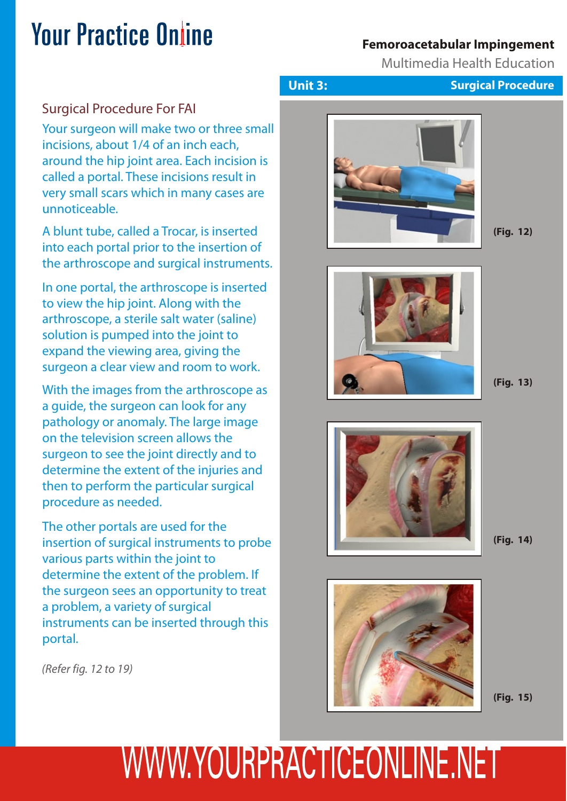### **Femoroacetabular Impingement**

Multimedia Health Education

### Surgical Procedure For FAI

Your surgeon will make two or three small incisions, about 1/4 of an inch each, around the hip joint area. Each incision is called a portal. These incisions result in very small scars which in many cases are unnoticeable.

A blunt tube, called a Trocar, is inserted into each portal prior to the insertion of the arthroscope and surgical instruments.

In one portal, the arthroscope is inserted to view the hip joint. Along with the arthroscope, a sterile salt water (saline) solution is pumped into the joint to expand the viewing area, giving the surgeon a clear view and room to work.

With the images from the arthroscope as a guide, the surgeon can look for any pathology or anomaly. The large image on the television screen allows the surgeon to see the joint directly and to determine the extent of the injuries and then to perform the particular surgical procedure as needed.

The other portals are used for the insertion of surgical instruments to probe various parts within the joint to determine the extent of the problem. If the surgeon sees an opportunity to treat a problem, a variety of surgical instruments can be inserted through this portal.

*(Refer fig. 12 to 19)*





**(Fig. 12)**



**(Fig. 13)**



**(Fig. 14)**



**(Fig. 15)**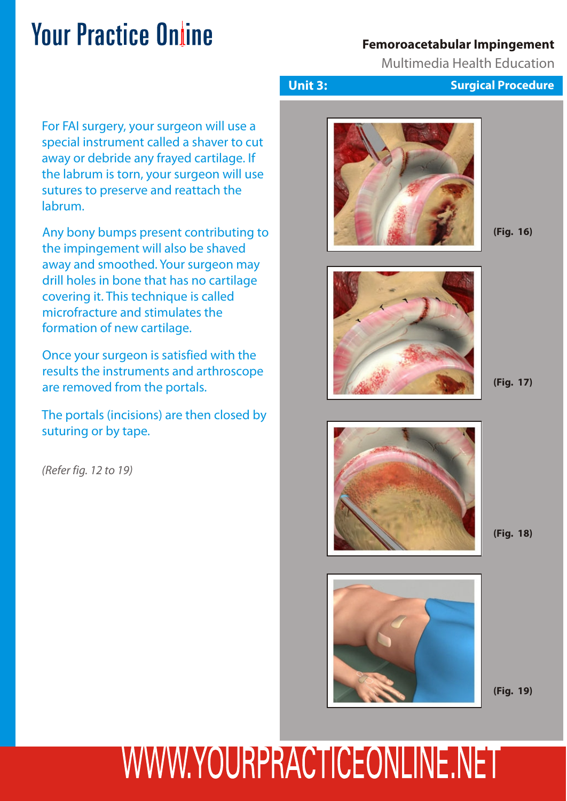### **Femoroacetabular Impingement**

Multimedia Health Education

For FAI surgery, your surgeon will use a special instrument called a shaver to cut away or debride any frayed cartilage. If the labrum is torn, your surgeon will use sutures to preserve and reattach the labrum.

Any bony bumps present contributing to the impingement will also be shaved away and smoothed. Your surgeon may drill holes in bone that has no cartilage covering it. This technique is called microfracture and stimulates the formation of new cartilage.

Once your surgeon is satisfied with the results the instruments and arthroscope are removed from the portals.

The portals (incisions) are then closed by suturing or by tape.

*(Refer fig. 12 to 19)*





**(Fig. 16)**



**(Fig. 17)**



**(Fig. 18)**



**(Fig. 19)**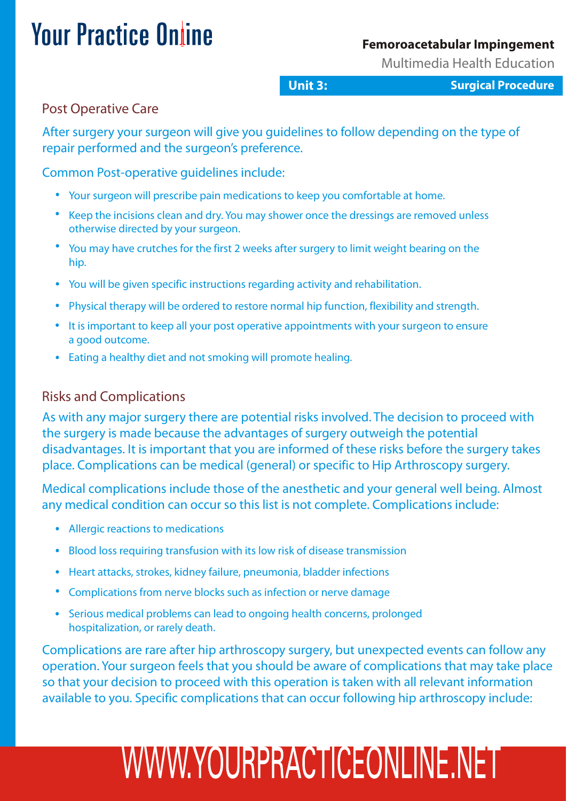#### **Femoroacetabular Impingement**

Multimedia Health Education

**Unit 3: Surgical Procedure**

### Post Operative Care

After surgery your surgeon will give you guidelines to follow depending on the type of repair performed and the surgeon's preference.

Common Post-operative guidelines include:

- Your surgeon will prescribe pain medications to keep you comfortable at home.
- Keep the incisions clean and dry. You may shower once the dressings are removed unless otherwise directed by your surgeon.
- You may have crutches for the first 2 weeks after surgery to limit weight bearing on the hip.
- You will be given specific instructions regarding activity and rehabilitation.
- Physical therapy will be ordered to restore normal hip function, flexibility and strength.
- It is important to keep all your post operative appointments with your surgeon to ensure a good outcome.
- Eating a healthy diet and not smoking will promote healing.

### Risks and Complications

As with any major surgery there are potential risks involved. The decision to proceed with the surgery is made because the advantages of surgery outweigh the potential disadvantages. It is important that you are informed of these risks before the surgery takes place. Complications can be medical (general) or specific to Hip Arthroscopy surgery.

Medical complications include those of the anesthetic and your general well being. Almost any medical condition can occur so this list is not complete. Complications include:

- Allergic reactions to medications
- Blood loss requiring transfusion with its low risk of disease transmission
- Heart attacks, strokes, kidney failure, pneumonia, bladder infections
- Complications from nerve blocks such as infection or nerve damage
- Serious medical problems can lead to ongoing health concerns, prolonged hospitalization, or rarely death.

Complications are rare after hip arthroscopy surgery, but unexpected events can follow any operation. Your surgeon feels that you should be aware of complications that may take place so that your decision to proceed with this operation is taken with all relevant information available to you. Specific complications that can occur following hip arthroscopy include: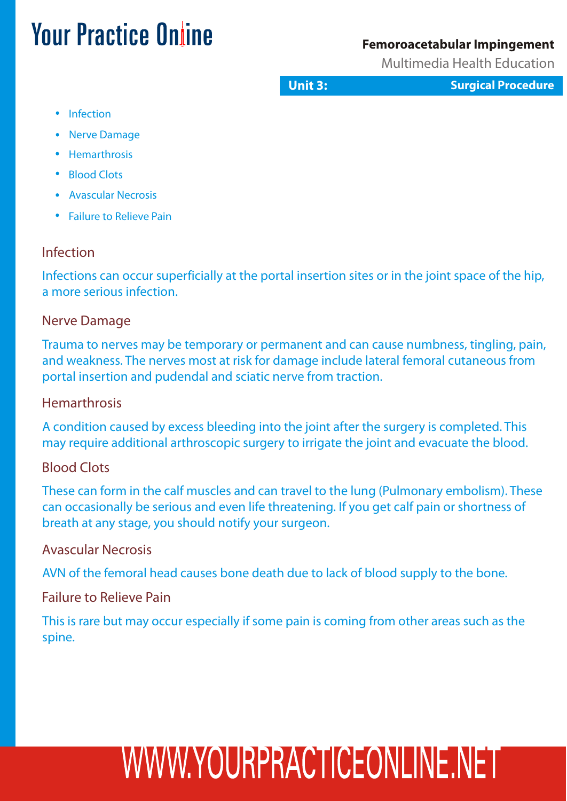#### **Femoroacetabular Impingement**

Multimedia Health Education

**Unit 3: Surgical Procedure**

- Infection
- Nerve Damage
- Hemarthrosis
- Blood Clots
- Avascular Necrosis
- Failure to Relieve Pain

### Infection

Infections can occur superficially at the portal insertion sites or in the joint space of the hip, a more serious infection.

### Nerve Damage

Trauma to nerves may be temporary or permanent and can cause numbness, tingling, pain, and weakness. The nerves most at risk for damage include lateral femoral cutaneous from portal insertion and pudendal and sciatic nerve from traction.

### **Hemarthrosis**

A condition caused by excess bleeding into the joint after the surgery is completed. This may require additional arthroscopic surgery to irrigate the joint and evacuate the blood.

### Blood Clots

These can form in the calf muscles and can travel to the lung (Pulmonary embolism). These can occasionally be serious and even life threatening. If you get calf pain or shortness of breath at any stage, you should notify your surgeon.

### Avascular Necrosis

AVN of the femoral head causes bone death due to lack of blood supply to the bone.

### Failure to Relieve Pain

This is rare but may occur especially if some pain is coming from other areas such as the spine.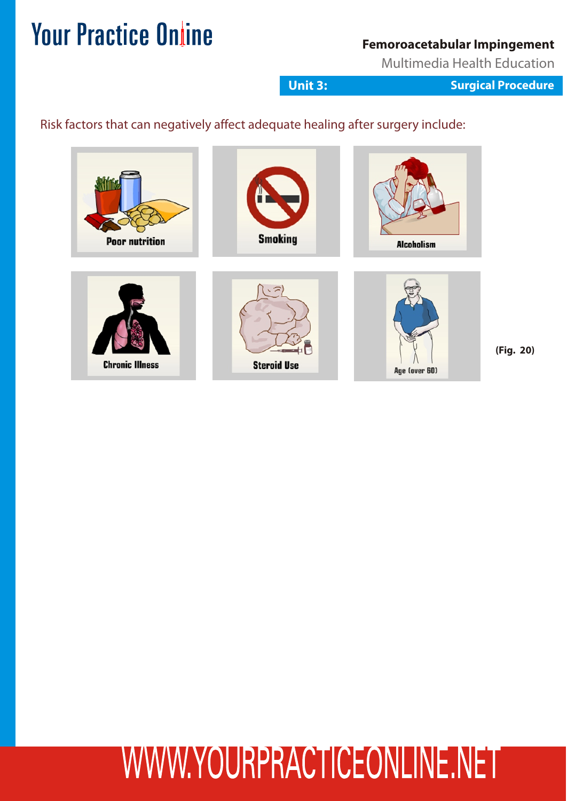### **Femoroacetabular Impingement**

Multimedia Health Education

**Unit 3: Surgical Procedure**

### Risk factors that can negatively affect adequate healing after surgery include:



**(Fig. 20)**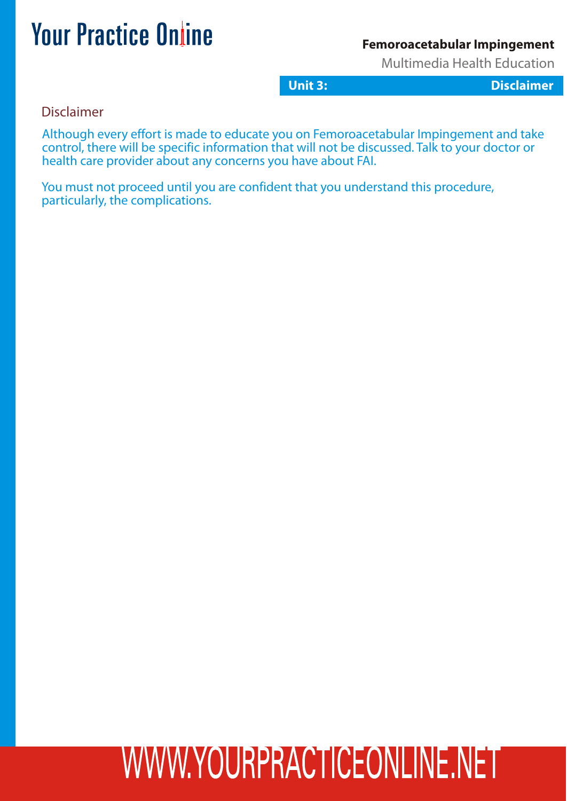#### **Femoroacetabular Impingement**

Multimedia Health Education

**Unit 3: Disclaimer**

Disclaimer

Although every effort is made to educate you on Femoroacetabular Impingement and take control, there will be specific information that will not be discussed. Talk to your doctor or health care provider about any concerns you have about FAI.

You must not proceed until you are confident that you understand this procedure, particularly, the complications.